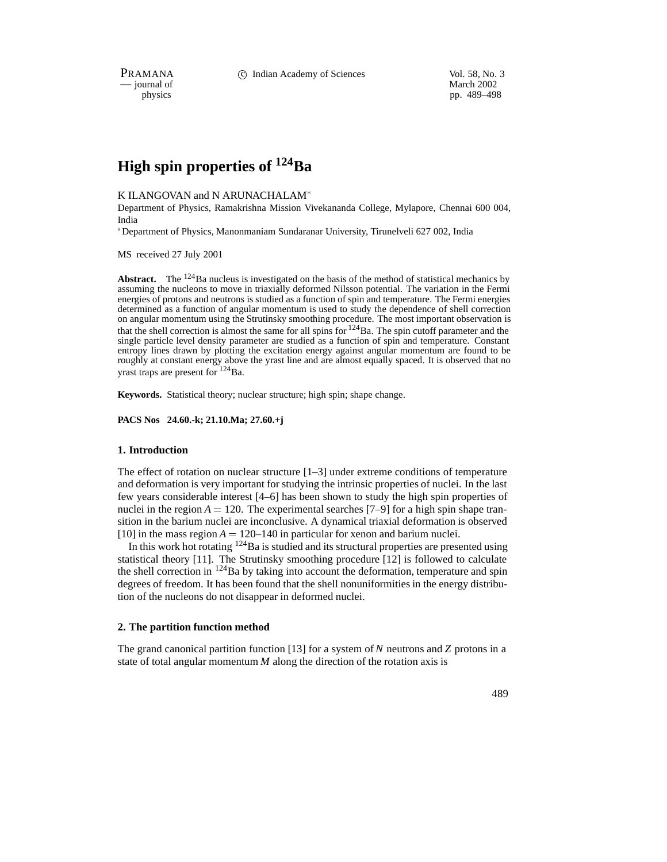PRAMANA 
<sup>C</sup> Indian Academy of Sciences 
<sup>Vol. 58, No. 3

Wol. 58, No. 3

PRAMANA

C Indian Academy of Sciences

Vol. 58, No. 3

Vol. 58, No. 3

Vol. 58, No. 3

Vol. 58, No. 3

Vol. 58, No. 3

Vol. 58, No. 3

Vol. 58, No. </sup>

position of the matrix of the matrix of the matrix of the March 2002 physics that the matrix of the March 2002 physics of the March 2002 physics of the March 2002 physics of the March 2002 physics of the March 2002 physics pp. 489–498

# **High spin properties of 124Ba**

## K ILANGOVAN and N ARUNACHALAM

Department of Physics, Ramakrishna Mission Vivekananda College, Mylapore, Chennai 600 004, India

Department of Physics, Manonmaniam Sundaranar University, Tirunelveli 627 002, India

MS received 27 July 2001

**Abstract.** The  $^{124}$ Ba nucleus is investigated on the basis of the method of statistical mechanics by assuming the nucleons to move in triaxially deformed Nilsson potential. The variation in the Fermi energies of protons and neutrons is studied as a function of spin and temperature. The Fermi energies determined as a function of angular momentum is used to study the dependence of shell correction on angular momentum using the Strutinsky smoothing procedure. The most important observation is that the shell correction is almost the same for all spins for  $124$ Ba. The spin cutoff parameter and the single particle level density parameter are studied as a function of spin and temperature. Constant entropy lines drawn by plotting the excitation energy against angular momentum are found to be roughly at constant energy above the yrast line and are almost equally spaced. It is observed that no yrast traps are present for <sup>124</sup>Ba.

**Keywords.** Statistical theory; nuclear structure; high spin; shape change.

**PACS Nos 24.60.-k; 21.10.Ma; 27.60.+j**

#### **1. Introduction**

The effect of rotation on nuclear structure  $[1-3]$  under extreme conditions of temperature and deformation is very important for studying the intrinsic properties of nuclei. In the last few years considerable interest [4–6] has been shown to study the high spin properties of nuclei in the region  $A = 120$ . The experimental searches [7–9] for a high spin shape transition in the barium nuclei are inconclusive. A dynamical triaxial deformation is observed [10] in the mass region  $A = 120-140$  in particular for xenon and barium nuclei.

In this work hot rotating  $124$ Ba is studied and its structural properties are presented using statistical theory [11]. The Strutinsky smoothing procedure [12] is followed to calculate the shell correction in  $124$ Ba by taking into account the deformation, temperature and spin degrees of freedom. It has been found that the shell nonuniformities in the energy distribution of the nucleons do not disappear in deformed nuclei.

### **2. The partition function method**

The grand canonical partition function [13] for a system of *N* neutrons and *Z* protons in a state of total angular momentum *M* along the direction of the rotation axis is

489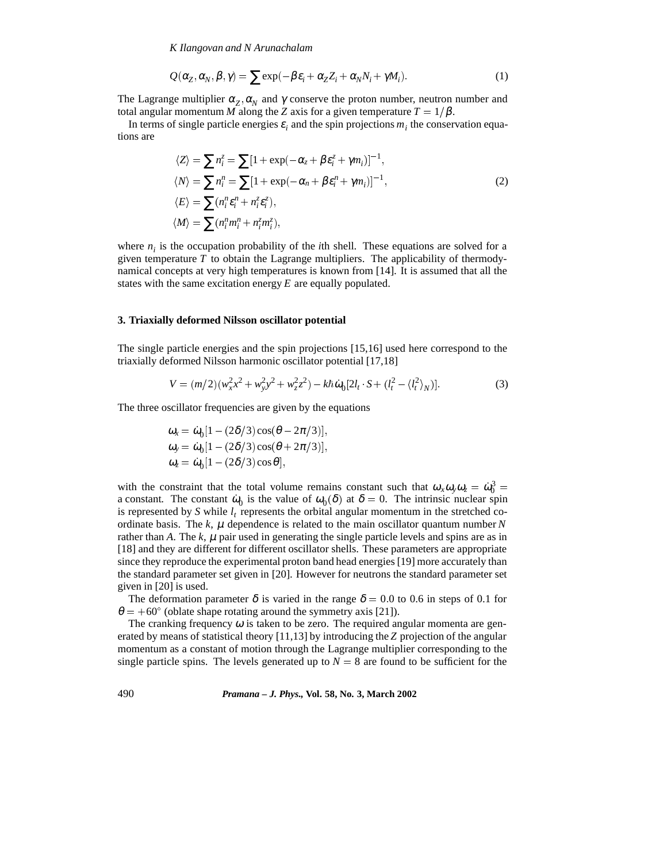*K Ilangovan and N Arunachalam*

$$
Q(\alpha_Z, \alpha_N, \beta, \gamma) = \sum \exp(-\beta \varepsilon_i + \alpha_Z Z_i + \alpha_N N_i + \gamma M_i). \tag{1}
$$

The Lagrange multiplier  $\alpha_z$ ,  $\alpha_N$  and  $\gamma$  conserve the proton number, neutron number and total angular momentum *M* along the *Z* axis for a given temperature  $T = 1/\beta$ .

In terms of single particle energies  $\varepsilon_i$  and the spin projections  $m_i$  the conservation equations are

$$
\langle Z \rangle = \sum n_i^z = \sum [1 + \exp(-\alpha_z + \beta \epsilon_i^z + \gamma m_i)]^{-1},
$$
  
\n
$$
\langle N \rangle = \sum n_i^n = \sum [1 + \exp(-\alpha_n + \beta \epsilon_i^n + \gamma m_i)]^{-1},
$$
  
\n
$$
\langle E \rangle = \sum (n_i^n \epsilon_i^n + n_i^z \epsilon_i^z),
$$
  
\n
$$
\langle M \rangle = \sum (n_i^n m_i^n + n_i^z m_i^z),
$$
\n(2)

where  $n_i$  is the occupation probability of the *i*th shell. These equations are solved for a given temperature  $T$  to obtain the Lagrange multipliers. The applicability of thermodynamical concepts at very high temperatures is known from [14]. It is assumed that all the states with the same excitation energy *E* are equally populated.

#### **3. Triaxially deformed Nilsson oscillator potential**

The single particle energies and the spin projections [15,16] used here correspond to the triaxially deformed Nilsson harmonic oscillator potential [17,18]

$$
V = (m/2)(w_x^2 x^2 + w_y^2 y^2 + w_z^2 z^2) - k\hbar \omega_0 [2l_t \cdot S + (l_t^2 - \langle l_t^2 \rangle_N)].
$$
\n(3)

The three oscillator frequencies are given by the equations

$$
\omega_x = \dot{\omega}_0 [1 - (2\delta/3)\cos(\theta - 2\pi/3)],
$$
  
\n
$$
\omega_y = \dot{\omega}_0 [1 - (2\delta/3)\cos(\theta + 2\pi/3)],
$$
  
\n
$$
\omega_z = \dot{\omega}_0 [1 - (2\delta/3)\cos\theta],
$$

with the constraint that the total volume remains constant such that  $\omega_x \omega_y \omega_z = \dot{\omega}_0^3$  = a constant. The constant  $\dot{\omega}_0$  is the value of  $\omega_0(\delta)$  at  $\delta = 0$ . The intrinsic nuclear spin is represented by *S* while  $l_t$  represents the orbital angular momentum in the stretched coordinate basis. The  $k$ ,  $\mu$  dependence is related to the main oscillator quantum number  $N$ rather than A. The  $k$ ,  $\mu$  pair used in generating the single particle levels and spins are as in [18] and they are different for different oscillator shells. These parameters are appropriate since they reproduce the experimental proton band head energies [19] more accurately than the standard parameter set given in [20]. However for neutrons the standard parameter set given in [20] is used.

The deformation parameter  $\delta$  is varied in the range  $\delta = 0.0$  to 0.6 in steps of 0.1 for  $\theta = +60^{\circ}$  (oblate shape rotating around the symmetry axis [21]).

The cranking frequency  $\omega$  is taken to be zero. The required angular momenta are generated by means of statistical theory [11,13] by introducing the *Z* projection of the angular momentum as a constant of motion through the Lagrange multiplier corresponding to the single particle spins. The levels generated up to  $N = 8$  are found to be sufficient for the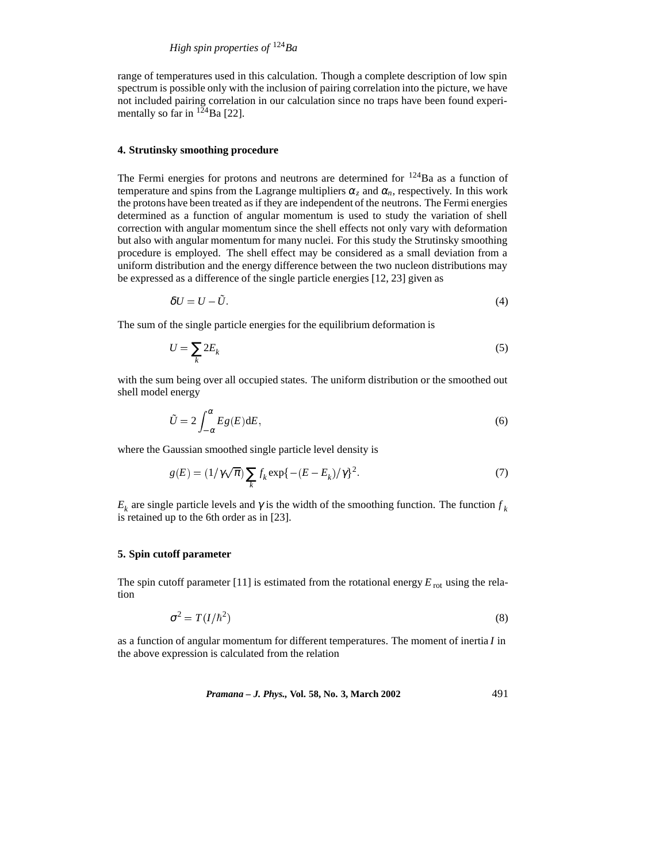range of temperatures used in this calculation. Though a complete description of low spin spectrum is possible only with the inclusion of pairing correlation into the picture, we have not included pairing correlation in our calculation since no traps have been found experimentally so far in  $^{124}$ Ba [22].

## **4. Strutinsky smoothing procedure**

The Fermi energies for protons and neutrons are determined for  $124$ Ba as a function of temperature and spins from the Lagrange multipliers  $\alpha_z$  and  $\alpha_n$ , respectively. In this work the protons have been treated as if they are independent of the neutrons. The Fermi energies determined as a function of angular momentum is used to study the variation of shell correction with angular momentum since the shell effects not only vary with deformation but also with angular momentum for many nuclei. For this study the Strutinsky smoothing procedure is employed. The shell effect may be considered as a small deviation from a uniform distribution and the energy difference between the two nucleon distributions may be expressed as a difference of the single particle energies [12, 23] given as

$$
\delta U = U - \tilde{U}.\tag{4}
$$

The sum of the single particle energies for the equilibrium deformation is

$$
U = \sum_{k} 2E_k \tag{5}
$$

with the sum being over all occupied states. The uniform distribution or the smoothed out shell model energy

$$
\tilde{U} = 2 \int_{-\alpha}^{\alpha} E g(E) \mathrm{d}E,\tag{6}
$$

where the Gaussian smoothed single particle level density is

$$
g(E) = \left(1/\gamma\sqrt{\pi}\right)\sum_{k} f_k \exp\left\{-\left(E - E_k\right)/\gamma\right\}^2. \tag{7}
$$

 $E_k$  are single particle levels and  $\gamma$  is the width of the smoothing function. The function  $f_k$ is retained up to the 6th order as in [23].

#### **5. Spin cutoff parameter**

The spin cutoff parameter [11] is estimated from the rotational energy  $E_{\text{rot}}$  using the relation

$$
\sigma^2 = T(I/\hbar^2) \tag{8}
$$

as a function of angular momentum for different temperatures. The moment of inertia *I* in the above expression is calculated from the relation

*Pramana – J. Phys.,* **Vol. 58, No. 3, March 2002** 491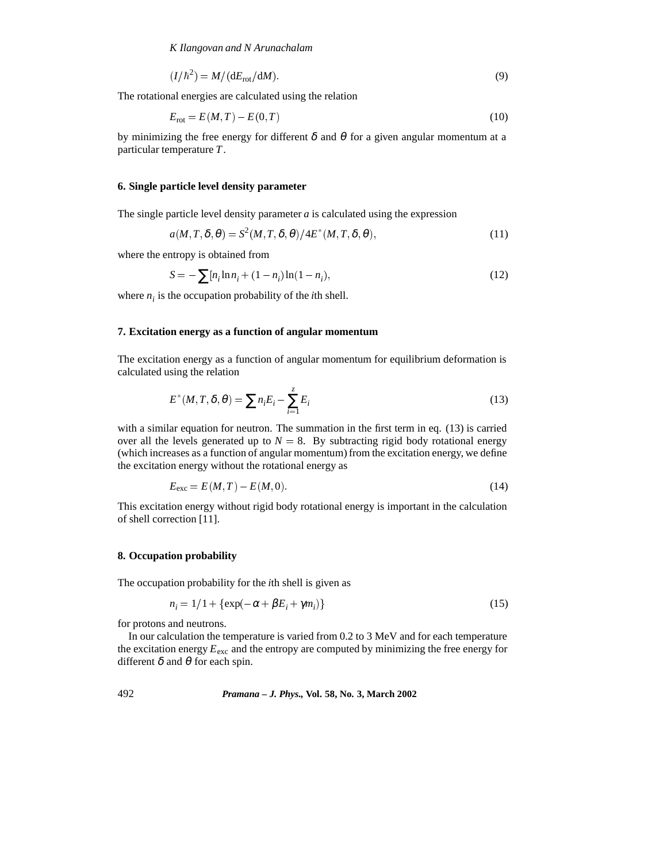*K Ilangovan and N Arunachalam*

$$
(I/\hbar^2) = M/(dE_{\text{rot}}/dM). \tag{9}
$$

The rotational energies are calculated using the relation

$$
E_{\rm rot} = E(M, T) - E(0, T) \tag{10}
$$

by minimizing the free energy for different  $\delta$  and  $\theta$  for a given angular momentum at a particular temperature *T*.

#### **6. Single particle level density parameter**

The single particle level density parameter  $a$  is calculated using the expression

$$
a(M, T, \delta, \theta) = S^2(M, T, \delta, \theta) / 4E^*(M, T, \delta, \theta),
$$
\n(11)

where the entropy is obtained from

$$
S = -\sum_{i} [n_i \ln n_i + (1 - n_i) \ln(1 - n_i), \tag{12}
$$

where  $n_i$  is the occupation probability of the *i*th shell.

### **7. Excitation energy as a function of angular momentum**

The excitation energy as a function of angular momentum for equilibrium deformation is calculated using the relation

$$
E^*(M, T, \delta, \theta) = \sum n_i E_i - \sum_{i=1}^z E_i
$$
\n(13)

with a similar equation for neutron. The summation in the first term in eq. (13) is carried over all the levels generated up to  $N = 8$ . By subtracting rigid body rotational energy (which increases as a function of angular momentum) from the excitation energy, we define the excitation energy without the rotational energy as

$$
E_{\text{exc}} = E(M, T) - E(M, 0). \tag{14}
$$

This excitation energy without rigid body rotational energy is important in the calculation of shell correction [11].

# **8. Occupation probability**

The occupation probability for the *i*th shell is given as

$$
n_i = 1/1 + \{ \exp(-\alpha + \beta E_i + \gamma m_i) \}
$$
\n<sup>(15)</sup>

for protons and neutrons.

In our calculation the temperature is varied from 0.2 to 3 MeV and for each temperature the excitation energy  $E_{\text{exc}}$  and the entropy are computed by minimizing the free energy for different  $\delta$  and  $\theta$  for each spin.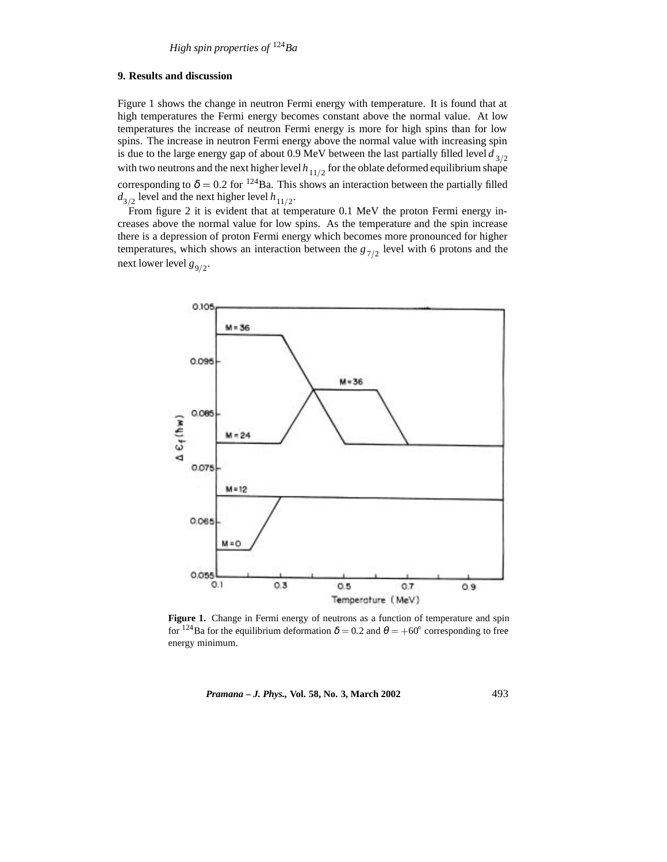## **9. Results and discussion**

Figure 1 shows the change in neutron Fermi energy with temperature. It is found that at high temperatures the Fermi energy becomes constant above the normal value. At low temperatures the increase of neutron Fermi energy is more for high spins than for low spins. The increase in neutron Fermi energy above the normal value with increasing spin is due to the large energy gap of about 0.9 MeV between the last partially filled level  $d_{3/2}$ with two neutrons and the next higher level  $h_{11/2}$  for the oblate deformed equilibrium shape corresponding to  $\delta = 0.2$  for <sup>124</sup>Ba. This shows an interaction between the partially filled  $d_{3/2}$  level and the next higher level  $h_{11/2}$ .

From figure 2 it is evident that at temperature 0.1 MeV the proton Fermi energy increases above the normal value for low spins. As the temperature and the spin increase there is a depression of proton Fermi energy which becomes more pronounced for higher temperatures, which shows an interaction between the  $g_{7/2}$  level with 6 protons and the next lower level  $g_{9/2}$ .



Figure 1. Change in Fermi energy of neutrons as a function of temperature and spin for <sup>124</sup>Ba for the equilibrium deformation  $\delta = 0.2$  and  $\theta = +60^{\circ}$  corresponding to free energy minimum.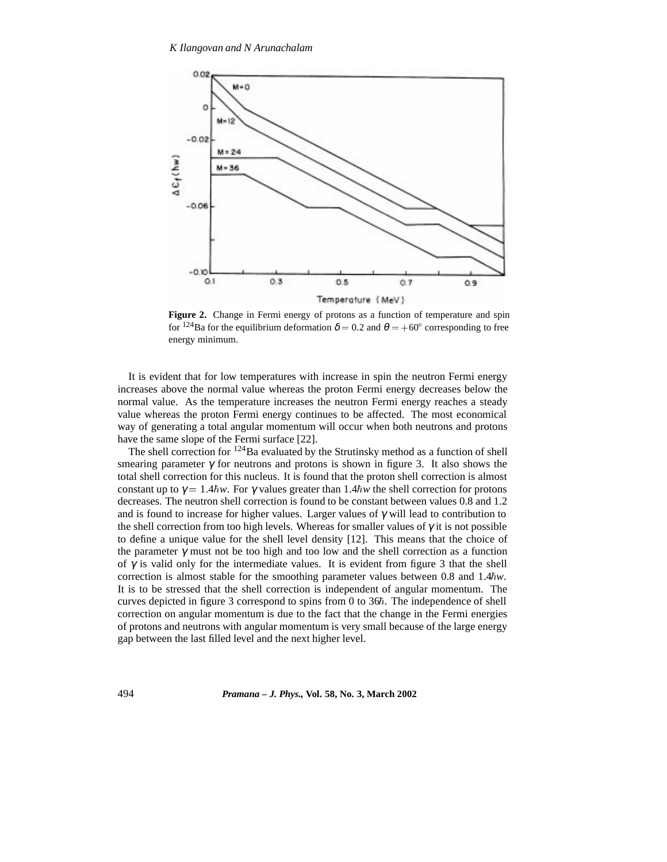

**Figure 2.** Change in Fermi energy of protons as a function of temperature and spin for <sup>124</sup>Ba for the equilibrium deformation  $\delta = 0.2$  and  $\theta = +60^{\circ}$  corresponding to free energy minimum.

It is evident that for low temperatures with increase in spin the neutron Fermi energy increases above the normal value whereas the proton Fermi energy decreases below the normal value. As the temperature increases the neutron Fermi energy reaches a steady value whereas the proton Fermi energy continues to be affected. The most economical way of generating a total angular momentum will occur when both neutrons and protons have the same slope of the Fermi surface [22].

The shell correction for  $124$ Ba evaluated by the Strutinsky method as a function of shell smearing parameter  $\gamma$  for neutrons and protons is shown in figure 3. It also shows the total shell correction for this nucleus. It is found that the proton shell correction is almost constant up to  $\gamma = 1.4\hbar w$ . For  $\gamma$  values greater than 1.4 $\hbar w$  the shell correction for protons decreases. The neutron shell correction is found to be constant between values 0.8 and 1.2 and is found to increase for higher values. Larger values of  $\gamma$  will lead to contribution to the shell correction from too high levels. Whereas for smaller values of  $\gamma$  it is not possible to define a unique value for the shell level density [12]. This means that the choice of the parameter  $\gamma$  must not be too high and too low and the shell correction as a function of  $\gamma$  is valid only for the intermediate values. It is evident from figure 3 that the shell correction is almost stable for the smoothing parameter values between 0.8 and  $1.4\hbar w$ . It is to be stressed that the shell correction is independent of angular momentum. The curves depicted in figure 3 correspond to spins from 0 to  $36<sup>\hbar</sup>$ . The independence of shell correction on angular momentum is due to the fact that the change in the Fermi energies of protons and neutrons with angular momentum is very small because of the large energy gap between the last filled level and the next higher level.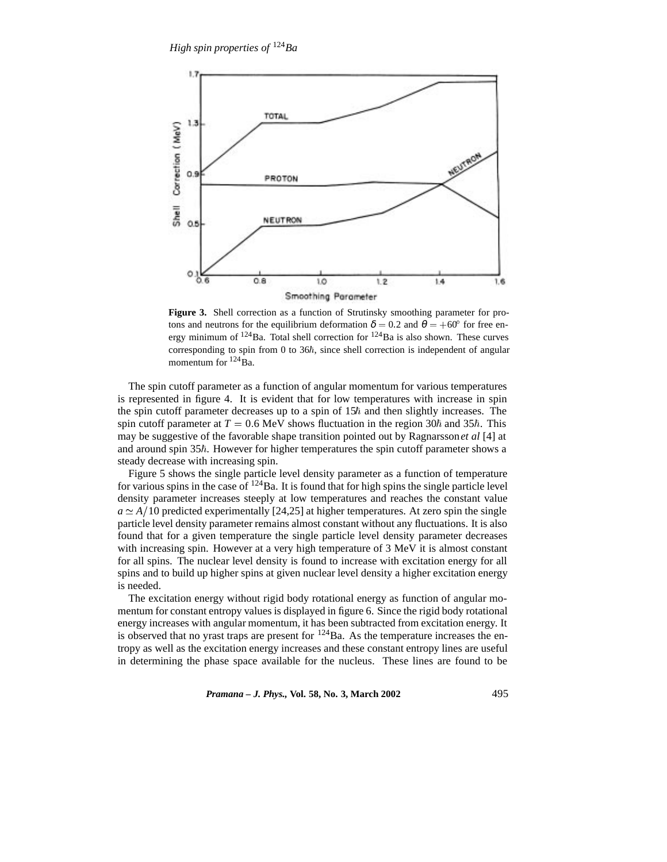

**Figure 3.** Shell correction as a function of Strutinsky smoothing parameter for protons and neutrons for the equilibrium deformation  $\delta = 0.2$  and  $\theta = +60^{\circ}$  for free energy minimum of  $124$ Ba. Total shell correction for  $124$ Ba is also shown. These curves corresponding to spin from 0 to  $36\hbar$ , since shell correction is independent of angular momentum for  $^{124}$ Ba.

The spin cutoff parameter as a function of angular momentum for various temperatures is represented in figure 4. It is evident that for low temperatures with increase in spin the spin cutoff parameter decreases up to a spin of  $15<sup>h</sup>$  and then slightly increases. The spin cutoff parameter at  $T = 0.6$  MeV shows fluctuation in the region 30 $\hbar$  and 35 $\hbar$ . This may be suggestive of the favorable shape transition pointed out by Ragnarsson*et al* [4] at and around spin  $35<sup>\hbar</sup>$ . However for higher temperatures the spin cutoff parameter shows a steady decrease with increasing spin.

Figure 5 shows the single particle level density parameter as a function of temperature for various spins in the case of  $124$  Ba. It is found that for high spins the single particle level density parameter increases steeply at low temperatures and reaches the constant value  $a \simeq A/10$  predicted experimentally [24,25] at higher temperatures. At zero spin the single particle level density parameter remains almost constant without any fluctuations. It is also found that for a given temperature the single particle level density parameter decreases with increasing spin. However at a very high temperature of 3 MeV it is almost constant for all spins. The nuclear level density is found to increase with excitation energy for all spins and to build up higher spins at given nuclear level density a higher excitation energy is needed.

The excitation energy without rigid body rotational energy as function of angular momentum for constant entropy values is displayed in figure 6. Since the rigid body rotational energy increases with angular momentum, it has been subtracted from excitation energy. It is observed that no yrast traps are present for  $^{124}$ Ba. As the temperature increases the entropy as well as the excitation energy increases and these constant entropy lines are useful in determining the phase space available for the nucleus. These lines are found to be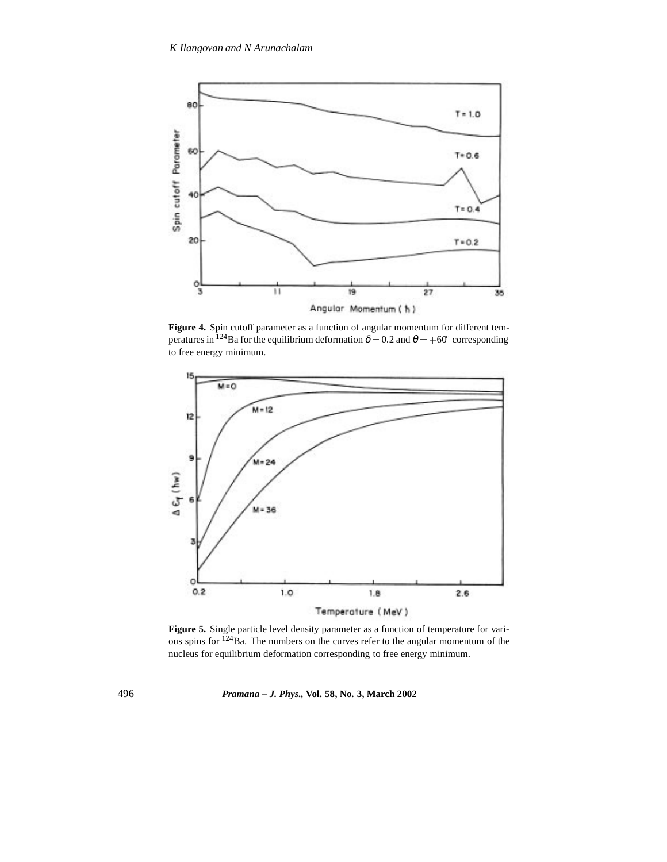

**Figure 4.** Spin cutoff parameter as a function of angular momentum for different temperatures in <sup>124</sup>Ba for the equilibrium deformation  $\delta = 0.2$  and  $\theta = +60^{\circ}$  corresponding to free energy minimum.



**Figure 5.** Single particle level density parameter as a function of temperature for various spins for  $124$ Ba. The numbers on the curves refer to the angular momentum of the nucleus for equilibrium deformation corresponding to free energy minimum.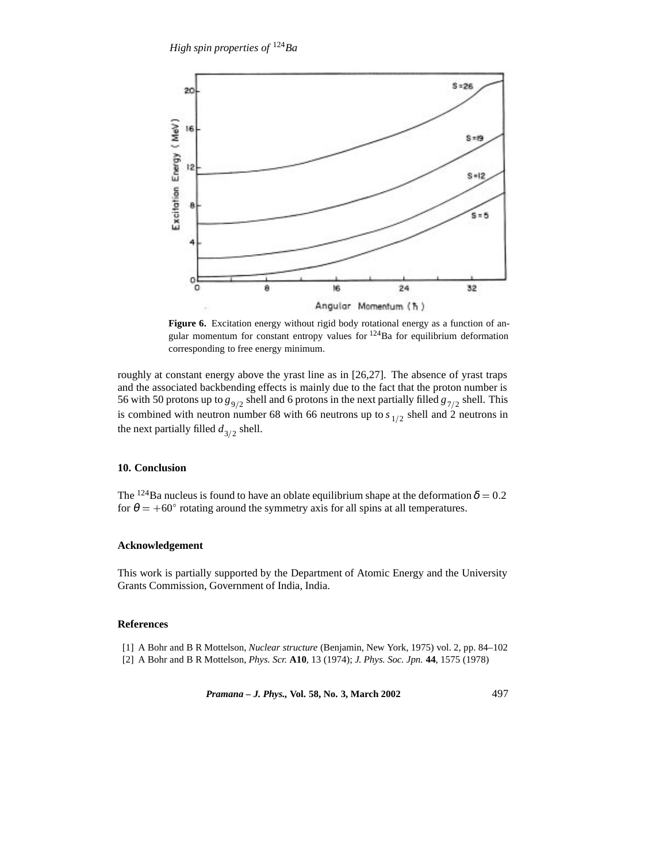

**Figure 6.** Excitation energy without rigid body rotational energy as a function of angular momentum for constant entropy values for  $124$ Ba for equilibrium deformation corresponding to free energy minimum.

roughly at constant energy above the yrast line as in [26,27]. The absence of yrast traps and the associated backbending effects is mainly due to the fact that the proton number is 56 with 50 protons up to  $g_{9/2}$  shell and 6 protons in the next partially filled  $g_{7/2}$  shell. This is combined with neutron number 68 with 66 neutrons up to  $s_{1/2}$  shell and 2 neutrons in the next partially filled  $d_{3/2}$  shell.

## **10. Conclusion**

The <sup>124</sup>Ba nucleus is found to have an oblate equilibrium shape at the deformation  $\delta = 0.2$ for  $\theta = +60^{\circ}$  rotating around the symmetry axis for all spins at all temperatures.

### **Acknowledgement**

This work is partially supported by the Department of Atomic Energy and the University Grants Commission, Government of India, India.

# **References**

[1] A Bohr and B R Mottelson, *Nuclear structure* (Benjamin, New York, 1975) vol. 2, pp. 84–102 [2] A Bohr and B R Mottelson, *Phys. Scr.* **A10**, 13 (1974); *J. Phys. Soc. Jpn.* **44**, 1575 (1978)

*Pramana – J. Phys.,* **Vol. 58, No. 3, March 2002** 497